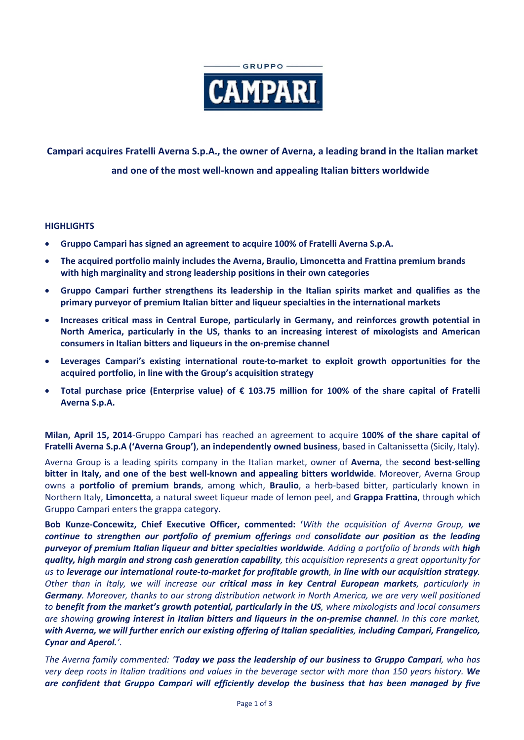

# **Campari acquires Fratelli Averna S.p.A., the owner of Averna, a leading brand in the Italian market and one of the most well-known and appealing Italian bitters worldwide**

# **HIGHLIGHTS**

- **Gruppo Campari has signed an agreement to acquire 100% of Fratelli Averna S.p.A.**
- **The acquired portfolio mainly includes the Averna, Braulio, Limoncetta and Frattina premium brands with high marginality and strong leadership positions in their own categories**
- **Gruppo Campari further strengthens its leadership in the Italian spirits market and qualifies as the primary purveyor of premium Italian bitter and liqueur specialties in the international markets**
- **Increases critical mass in Central Europe, particularly in Germany, and reinforces growth potential in North America, particularly in the US, thanks to an increasing interest of mixologists and American consumers in Italian bitters and liqueurs in the on-premise channel**
- **Leverages Campari's existing international route-to-market to exploit growth opportunities for the acquired portfolio, in line with the Group's acquisition strategy**
- **Total purchase price (Enterprise value) of € 103.75 million for 100% of the share capital of Fratelli Averna S.p.A.**

**Milan, April 15, 2014**-Gruppo Campari has reached an agreement to acquire **100% of the share capital of Fratelli Averna S.p.A ('Averna Group')**, **an independently owned business**, based in Caltanissetta (Sicily, Italy).

Averna Group is a leading spirits company in the Italian market, owner of **Averna**, the **second best-selling bitter in Italy, and one of the best well-known and appealing bitters worldwide**. Moreover, Averna Group owns a **portfolio of premium brands**, among which, **Braulio**, a herb-based bitter, particularly known in Northern Italy, **Limoncetta**, a natural sweet liqueur made of lemon peel, and **Grappa Frattina**, through which Gruppo Campari enters the grappa category.

**Bob Kunze-Concewitz, Chief Executive Officer, commented: '***With the acquisition of Averna Group, we continue to strengthen our portfolio of premium offerings and consolidate our position as the leading purveyor of premium Italian liqueur and bitter specialties worldwide. Adding a portfolio of brands with high quality, high margin and strong cash generation capability, this acquisition represents a great opportunity for us to leverage our international route-to-market for profitable growth, in line with our acquisition strategy. Other than in Italy, we will increase our critical mass in key Central European markets, particularly in Germany. Moreover, thanks to our strong distribution network in North America, we are very well positioned to benefit from the market's growth potential, particularly in the US, where mixologists and local consumers are showing growing interest in Italian bitters and liqueurs in the on-premise channel. In this core market, with Averna, we will further enrich our existing offering of Italian specialities, including Campari, Frangelico, Cynar and Aperol.'*.

*The Averna family commented: 'Today we pass the leadership of our business to Gruppo Campari, who has very deep roots in Italian traditions and values in the beverage sector with more than 150 years history. We are confident that Gruppo Campari will efficiently develop the business that has been managed by five*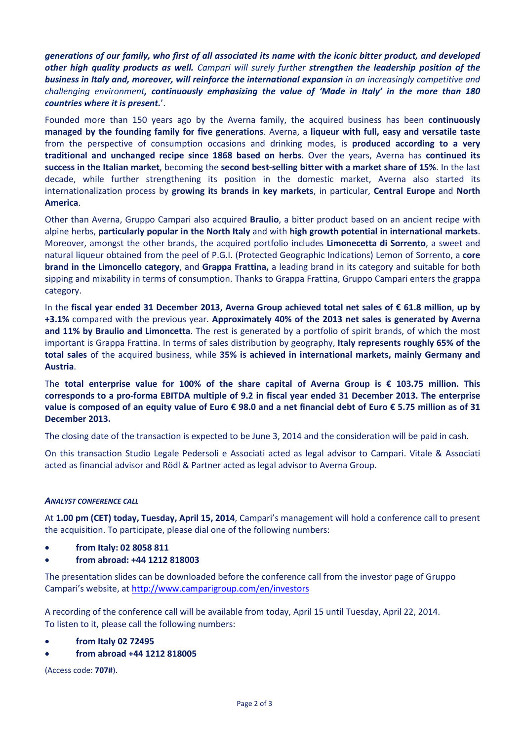*generations of our family, who first of all associated its name with the iconic bitter product, and developed other high quality products as well. Campari will surely further strengthen the leadership position of the business in Italy and, moreover, will reinforce the international expansion in an increasingly competitive and challenging environment, continuously emphasizing the value of 'Made in Italy' in the more than 180 countries where it is present.*'.

Founded more than 150 years ago by the Averna family, the acquired business has been **continuously managed by the founding family for five generations**. Averna, a **liqueur with full, easy and versatile taste** from the perspective of consumption occasions and drinking modes, is **produced according to a very traditional and unchanged recipe since 1868 based on herbs**. Over the years, Averna has **continued its success in the Italian market**, becoming the **second best-selling bitter with a market share of 15%**. In the last decade, while further strengthening its position in the domestic market, Averna also started its internationalization process by **growing its brands in key markets**, in particular, **Central Europe** and **North America**.

Other than Averna, Gruppo Campari also acquired **Braulio**, a bitter product based on an ancient recipe with alpine herbs, **particularly popular in the North Italy** and with **high growth potential in international markets**. Moreover, amongst the other brands, the acquired portfolio includes **Limonecetta di Sorrento**, a sweet and natural liqueur obtained from the peel of P.G.I. (Protected Geographic Indications) Lemon of Sorrento, a **core brand in the Limoncello category**, and **Grappa Frattina,** a leading brand in its category and suitable for both sipping and mixability in terms of consumption. Thanks to Grappa Frattina, Gruppo Campari enters the grappa category.

In the **fiscal year ended 31 December 2013, Averna Group achieved total net sales of € 61.8 million**, **up by +3.1%** compared with the previous year. **Approximately 40% of the 2013 net sales is generated by Averna and 11% by Braulio and Limoncetta**. The rest is generated by a portfolio of spirit brands, of which the most important is Grappa Frattina. In terms of sales distribution by geography, **Italy represents roughly 65% of the total sales** of the acquired business, while **35% is achieved in international markets, mainly Germany and Austria**.

The **total enterprise value for 100% of the share capital of Averna Group is € 103.75 million. This corresponds to a pro-forma EBITDA multiple of 9.2 in fiscal year ended 31 December 2013. The enterprise value is composed of an equity value of Euro € 98.0 and a net financial debt of Euro € 5.75 million as of 31 December 2013.**

The closing date of the transaction is expected to be June 3, 2014 and the consideration will be paid in cash.

On this transaction Studio Legale Pedersoli e Associati acted as legal advisor to Campari. Vitale & Associati acted as financial advisor and Rödl & Partner acted as legal advisor to Averna Group.

## *ANALYST CONFERENCE CALL*

At **1.00 pm (CET) today, Tuesday, April 15, 2014**, Campari's management will hold a conference call to present the acquisition. To participate, please dial one of the following numbers:

- **from Italy: 02 8058 811**
- **from abroad: +44 1212 818003**

The presentation slides can be downloaded before the conference call from the investor page of Gruppo Campari's website, a[t http://www.camparigroup.com/en/investors](http://www.camparigroup.com/en/investors)

A recording of the conference call will be available from today, April 15 until Tuesday, April 22, 2014. To listen to it, please call the following numbers:

- **from Italy 02 72495**
- **from abroad +44 1212 818005**

(Access code: **707#**).